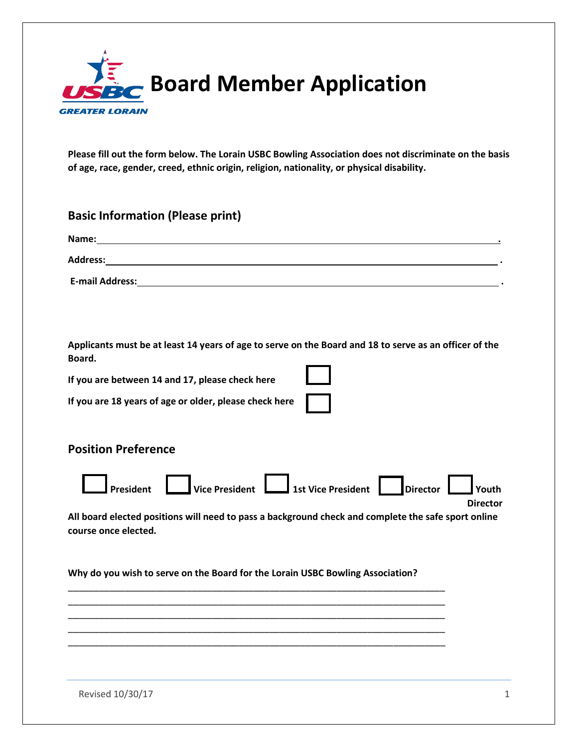

**Please fill out the form below. The Lorain USBC Bowling Association does not discriminate on the basis of age, race, gender, creed, ethnic origin, religion, nationality, or physical disability.** 

| <b>Basic Information (Please print)</b>                                                                                     |
|-----------------------------------------------------------------------------------------------------------------------------|
|                                                                                                                             |
|                                                                                                                             |
|                                                                                                                             |
|                                                                                                                             |
|                                                                                                                             |
| Applicants must be at least 14 years of age to serve on the Board and 18 to serve as an officer of the<br>Board.            |
| If you are between 14 and 17, please check here                                                                             |
| If you are 18 years of age or older, please check here                                                                      |
|                                                                                                                             |
| <b>Position Preference</b>                                                                                                  |
| President Vice President 1st Vice President Director<br><b>Director</b>                                                     |
| All board elected positions will need to pass a background check and complete the safe sport online<br>course once elected. |
| Why do you wish to serve on the Board for the Lorain USBC Bowling Association?                                              |
|                                                                                                                             |
|                                                                                                                             |
|                                                                                                                             |
|                                                                                                                             |

Revised 10/30/17 1